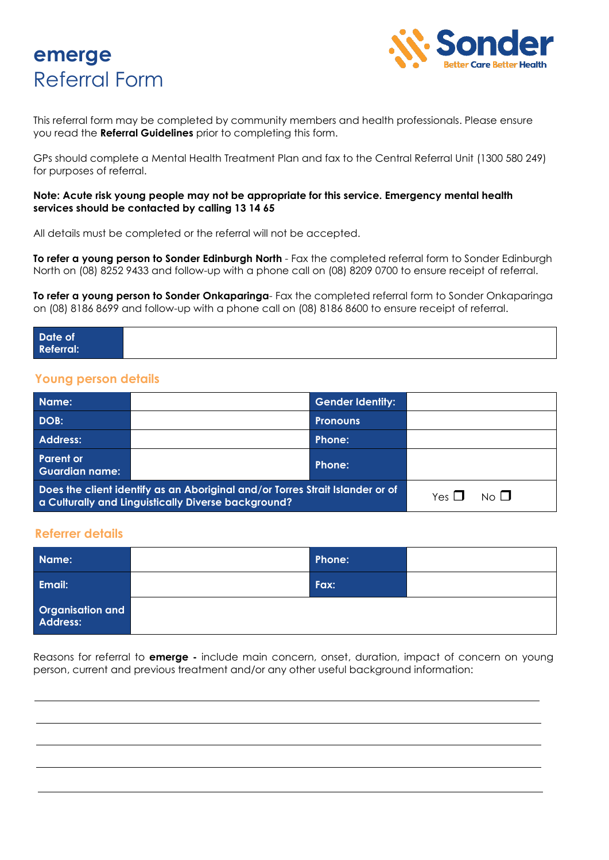



This referral form may be completed by community members and health professionals. Please ensure you read the **Referral Guidelines** prior to completing this form.

GPs should complete a Mental Health Treatment Plan and fax to the Central Referral Unit (1300 580 249) for purposes of referral.

#### **Note: Acute risk young people may not be appropriate for this service. Emergency mental health services should be contacted by calling 13 14 65**

All details must be completed or the referral will not be accepted.

**To refer a young person to Sonder Edinburgh North** - Fax the completed referral form to Sonder Edinburgh North on (08) 8252 9433 and follow-up with a phone call on (08) 8209 0700 to ensure receipt of referral.

**To refer a young person to Sonder Onkaparinga**- Fax the completed referral form to Sonder Onkaparinga on (08) 8186 8699 and follow-up with a phone call on (08) 8186 8600 to ensure receipt of referral.

| Date of<br>Referral: |  |  |
|----------------------|--|--|
|                      |  |  |

## **Young person details**

| Name:                                                                                                                                |  | <b>Gender Identity:</b> |                       |  |
|--------------------------------------------------------------------------------------------------------------------------------------|--|-------------------------|-----------------------|--|
| DOB:                                                                                                                                 |  | <b>Pronouns</b>         |                       |  |
| <b>Address:</b>                                                                                                                      |  | Phone:                  |                       |  |
| <b>Parent or</b><br><b>Guardian name:</b>                                                                                            |  | Phone:                  |                       |  |
| Does the client identify as an Aboriginal and/or Torres Strait Islander or of<br>a Culturally and Linguistically Diverse background? |  | Yes $\Box$              | $N_O$ $\vert$ $\vert$ |  |

## **Referrer details**

| Name:                        | Phone: |  |
|------------------------------|--------|--|
| Email:                       | Fax:   |  |
| Organisation and<br>Address: |        |  |

Reasons for referral to **emerge -** include main concern, onset, duration, impact of concern on young person, current and previous treatment and/or any other useful background information: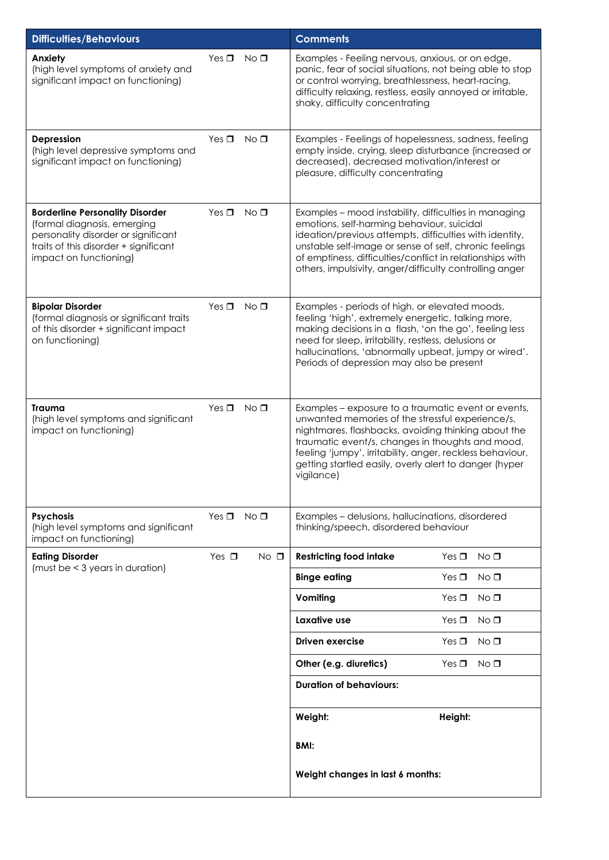| <b>Difficulties/Behaviours</b>                                                                                                                                                  |            |                 | <b>Comments</b>                                                                                                                                                                                                                                                                                                                                         |                               |  |
|---------------------------------------------------------------------------------------------------------------------------------------------------------------------------------|------------|-----------------|---------------------------------------------------------------------------------------------------------------------------------------------------------------------------------------------------------------------------------------------------------------------------------------------------------------------------------------------------------|-------------------------------|--|
| Anxiety<br>(high level symptoms of anxiety and<br>significant impact on functioning)                                                                                            | Yes $\Box$ | $No$ $\square$  | Examples - Feeling nervous, anxious, or on edge,<br>panic, fear of social situations, not being able to stop<br>or control worrying, breathlessness, heart-racing,<br>difficulty relaxing, restless, easily annoyed or irritable,<br>shaky, difficulty concentrating                                                                                    |                               |  |
| Depression<br>(high level depressive symptoms and<br>significant impact on functioning)                                                                                         | Yes $\Box$ | No <sub>1</sub> | Examples - Feelings of hopelessness, sadness, feeling<br>empty inside, crying, sleep disturbance (increased or<br>decreased), decreased motivation/interest or<br>pleasure, difficulty concentrating                                                                                                                                                    |                               |  |
| <b>Borderline Personality Disorder</b><br>(formal diagnosis, emerging<br>personality disorder or significant<br>traits of this disorder + significant<br>impact on functioning) | Yes $\Box$ | $No$ $\Box$     | Examples - mood instability, difficulties in managing<br>emotions, self-harming behaviour, suicidal<br>ideation/previous attempts, difficulties with identity,<br>unstable self-image or sense of self, chronic feelings<br>of emptiness, difficulties/conflict in relationships with<br>others, impulsivity, anger/difficulty controlling anger        |                               |  |
| <b>Bipolar Disorder</b><br>(formal diagnosis or significant traits<br>of this disorder + significant impact<br>on functioning)                                                  | Yes $\Box$ | No <sub>D</sub> | Examples - periods of high, or elevated moods,<br>feeling 'high', extremely energetic, talking more,<br>making decisions in a flash, 'on the go', feeling less<br>need for sleep, irritability, restless, delusions or<br>hallucinations, 'abnormally upbeat, jumpy or wired'.<br>Periods of depression may also be present                             |                               |  |
| Trauma<br>(high level symptoms and significant<br>impact on functioning)                                                                                                        | Yes $\Box$ | $No$ $\square$  | Examples - exposure to a traumatic event or events,<br>unwanted memories of the stressful experience/s,<br>nightmares, flashbacks, avoiding thinking about the<br>traumatic event/s, changes in thoughts and mood,<br>feeling 'jumpy', irritability, anger, reckless behaviour,<br>getting startled easily, overly alert to danger (hyper<br>vigilance) |                               |  |
| <b>Psychosis</b><br>(high level symptoms and significant<br>impact on functioning)                                                                                              | Yes $\Box$ | $No$ $\square$  | Examples - delusions, hallucinations, disordered<br>thinking/speech, disordered behaviour                                                                                                                                                                                                                                                               |                               |  |
| <b>Eating Disorder</b><br>(must be < 3 years in duration)                                                                                                                       | Yes $\Box$ | $No$ $\Box$     | <b>Restricting food intake</b>                                                                                                                                                                                                                                                                                                                          | Yes $\Box$<br>No <sub>1</sub> |  |
|                                                                                                                                                                                 |            |                 | <b>Binge eating</b>                                                                                                                                                                                                                                                                                                                                     | Yes $\Box$<br>No <sub>0</sub> |  |
|                                                                                                                                                                                 |            |                 | Vomiting                                                                                                                                                                                                                                                                                                                                                | Yes $\Box$<br>No <sub>1</sub> |  |
|                                                                                                                                                                                 |            |                 | Laxative use                                                                                                                                                                                                                                                                                                                                            | Yes $\Box$<br>No <sub>1</sub> |  |
|                                                                                                                                                                                 |            |                 | <b>Driven exercise</b>                                                                                                                                                                                                                                                                                                                                  | Yes $\Box$<br>NO <sub>0</sub> |  |
|                                                                                                                                                                                 |            |                 | Other (e.g. diuretics)                                                                                                                                                                                                                                                                                                                                  | Yes $\Box$<br>No <sub>D</sub> |  |
|                                                                                                                                                                                 |            |                 | <b>Duration of behaviours:</b>                                                                                                                                                                                                                                                                                                                          |                               |  |
|                                                                                                                                                                                 |            |                 | Weight:                                                                                                                                                                                                                                                                                                                                                 | Height:                       |  |
|                                                                                                                                                                                 |            |                 | BMI:                                                                                                                                                                                                                                                                                                                                                    |                               |  |
|                                                                                                                                                                                 |            |                 | Weight changes in last 6 months:                                                                                                                                                                                                                                                                                                                        |                               |  |